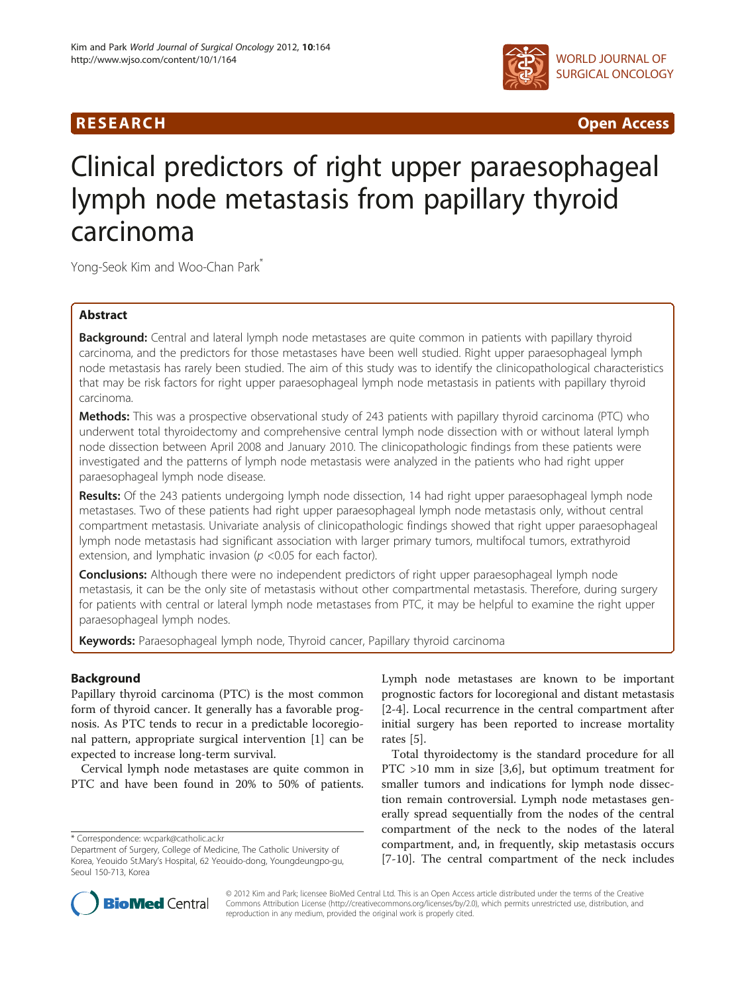# R E S EAR CH Open Access



# Clinical predictors of right upper paraesophageal lymph node metastasis from papillary thyroid carcinoma

Yong-Seok Kim and Woo-Chan Park<sup>\*</sup>

# Abstract

Background: Central and lateral lymph node metastases are quite common in patients with papillary thyroid carcinoma, and the predictors for those metastases have been well studied. Right upper paraesophageal lymph node metastasis has rarely been studied. The aim of this study was to identify the clinicopathological characteristics that may be risk factors for right upper paraesophageal lymph node metastasis in patients with papillary thyroid carcinoma.

Methods: This was a prospective observational study of 243 patients with papillary thyroid carcinoma (PTC) who underwent total thyroidectomy and comprehensive central lymph node dissection with or without lateral lymph node dissection between April 2008 and January 2010. The clinicopathologic findings from these patients were investigated and the patterns of lymph node metastasis were analyzed in the patients who had right upper paraesophageal lymph node disease.

Results: Of the 243 patients undergoing lymph node dissection, 14 had right upper paraesophageal lymph node metastases. Two of these patients had right upper paraesophageal lymph node metastasis only, without central compartment metastasis. Univariate analysis of clinicopathologic findings showed that right upper paraesophageal lymph node metastasis had significant association with larger primary tumors, multifocal tumors, extrathyroid extension, and lymphatic invasion ( $p$  <0.05 for each factor).

**Conclusions:** Although there were no independent predictors of right upper paraesophageal lymph node metastasis, it can be the only site of metastasis without other compartmental metastasis. Therefore, during surgery for patients with central or lateral lymph node metastases from PTC, it may be helpful to examine the right upper paraesophageal lymph nodes.

Keywords: Paraesophageal lymph node, Thyroid cancer, Papillary thyroid carcinoma

# **Background**

Papillary thyroid carcinoma (PTC) is the most common form of thyroid cancer. It generally has a favorable prognosis. As PTC tends to recur in a predictable locoregional pattern, appropriate surgical intervention [\[1](#page-4-0)] can be expected to increase long-term survival.

Cervical lymph node metastases are quite common in PTC and have been found in 20% to 50% of patients.

\* Correspondence: [wcpark@catholic.ac.kr](mailto:wcpark@catholic.ac.kr)

Lymph node metastases are known to be important prognostic factors for locoregional and distant metastasis [[2](#page-4-0)[-4](#page-5-0)]. Local recurrence in the central compartment after initial surgery has been reported to increase mortality rates [\[5](#page-5-0)].

Total thyroidectomy is the standard procedure for all PTC >10 mm in size [[3,](#page-4-0)[6\]](#page-5-0), but optimum treatment for smaller tumors and indications for lymph node dissection remain controversial. Lymph node metastases generally spread sequentially from the nodes of the central compartment of the neck to the nodes of the lateral compartment, and, in frequently, skip metastasis occurs [[7-10](#page-5-0)]. The central compartment of the neck includes



© 2012 Kim and Park; licensee BioMed Central Ltd. This is an Open Access article distributed under the terms of the Creative Commons Attribution License [\(http://creativecommons.org/licenses/by/2.0\)](http://creativecommons.org/licenses/by/2.0), which permits unrestricted use, distribution, and reproduction in any medium, provided the original work is properly cited.

Department of Surgery, College of Medicine, The Catholic University of Korea, Yeouido St.Mary's Hospital, 62 Yeouido-dong, Youngdeungpo-gu, Seoul 150-713, Korea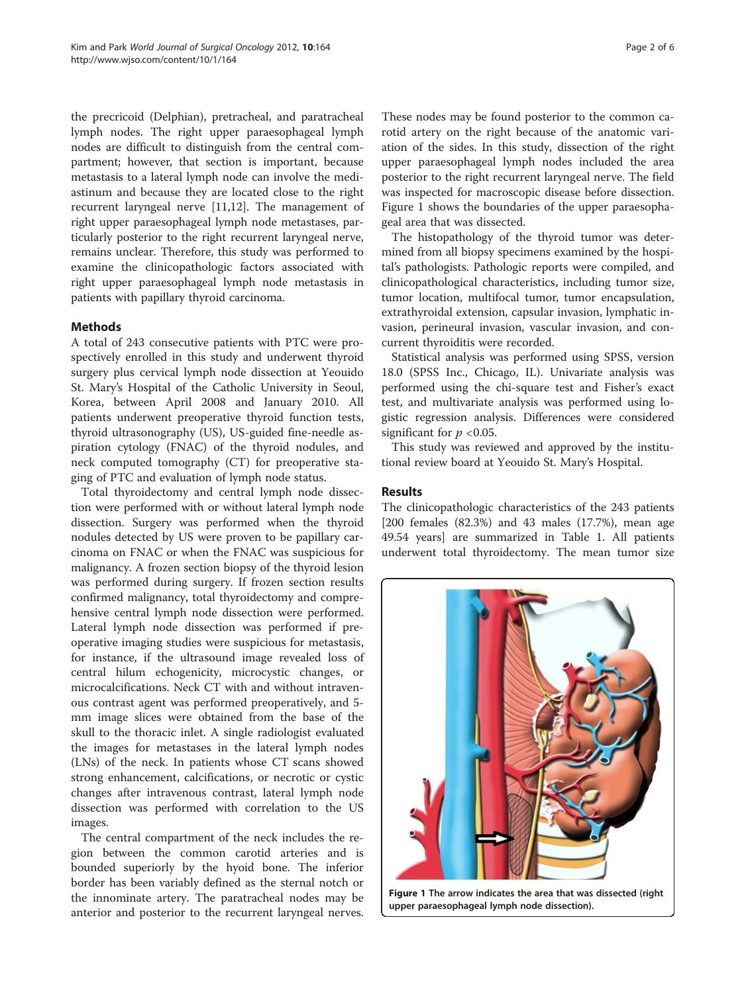the precricoid (Delphian), pretracheal, and paratracheal lymph nodes. The right upper paraesophageal lymph nodes are difficult to distinguish from the central compartment; however, that section is important, because metastasis to a lateral lymph node can involve the mediastinum and because they are located close to the right recurrent laryngeal nerve [\[11,12\]](#page-5-0). The management of right upper paraesophageal lymph node metastases, particularly posterior to the right recurrent laryngeal nerve, remains unclear. Therefore, this study was performed to examine the clinicopathologic factors associated with right upper paraesophageal lymph node metastasis in patients with papillary thyroid carcinoma.

## Methods

A total of 243 consecutive patients with PTC were prospectively enrolled in this study and underwent thyroid surgery plus cervical lymph node dissection at Yeouido St. Mary's Hospital of the Catholic University in Seoul, Korea, between April 2008 and January 2010. All patients underwent preoperative thyroid function tests, thyroid ultrasonography (US), US-guided fine-needle aspiration cytology (FNAC) of the thyroid nodules, and neck computed tomography (CT) for preoperative staging of PTC and evaluation of lymph node status.

Total thyroidectomy and central lymph node dissection were performed with or without lateral lymph node dissection. Surgery was performed when the thyroid nodules detected by US were proven to be papillary carcinoma on FNAC or when the FNAC was suspicious for malignancy. A frozen section biopsy of the thyroid lesion was performed during surgery. If frozen section results confirmed malignancy, total thyroidectomy and comprehensive central lymph node dissection were performed. Lateral lymph node dissection was performed if preoperative imaging studies were suspicious for metastasis, for instance, if the ultrasound image revealed loss of central hilum echogenicity, microcystic changes, or microcalcifications. Neck CT with and without intravenous contrast agent was performed preoperatively, and 5 mm image slices were obtained from the base of the skull to the thoracic inlet. A single radiologist evaluated the images for metastases in the lateral lymph nodes (LNs) of the neck. In patients whose CT scans showed strong enhancement, calcifications, or necrotic or cystic changes after intravenous contrast, lateral lymph node dissection was performed with correlation to the US images.

The central compartment of the neck includes the region between the common carotid arteries and is bounded superiorly by the hyoid bone. The inferior border has been variably defined as the sternal notch or the innominate artery. The paratracheal nodes may be anterior and posterior to the recurrent laryngeal nerves. These nodes may be found posterior to the common carotid artery on the right because of the anatomic variation of the sides. In this study, dissection of the right upper paraesophageal lymph nodes included the area posterior to the right recurrent laryngeal nerve. The field was inspected for macroscopic disease before dissection. Figure 1 shows the boundaries of the upper paraesophageal area that was dissected.

The histopathology of the thyroid tumor was determined from all biopsy specimens examined by the hospital's pathologists. Pathologic reports were compiled, and clinicopathological characteristics, including tumor size, tumor location, multifocal tumor, tumor encapsulation, extrathyroidal extension, capsular invasion, lymphatic invasion, perineural invasion, vascular invasion, and concurrent thyroiditis were recorded.

Statistical analysis was performed using SPSS, version 18.0 (SPSS Inc., Chicago, IL). Univariate analysis was performed using the chi-square test and Fisher's exact test, and multivariate analysis was performed using logistic regression analysis. Differences were considered significant for  $p < 0.05$ .

This study was reviewed and approved by the institutional review board at Yeouido St. Mary's Hospital.

#### Results

The clinicopathologic characteristics of the 243 patients [200 females (82.3%) and 43 males (17.7%), mean age 49.54 years] are summarized in Table [1](#page-2-0). All patients underwent total thyroidectomy. The mean tumor size



Figure 1 The arrow indicates the area that was dissected (right upper paraesophageal lymph node dissection).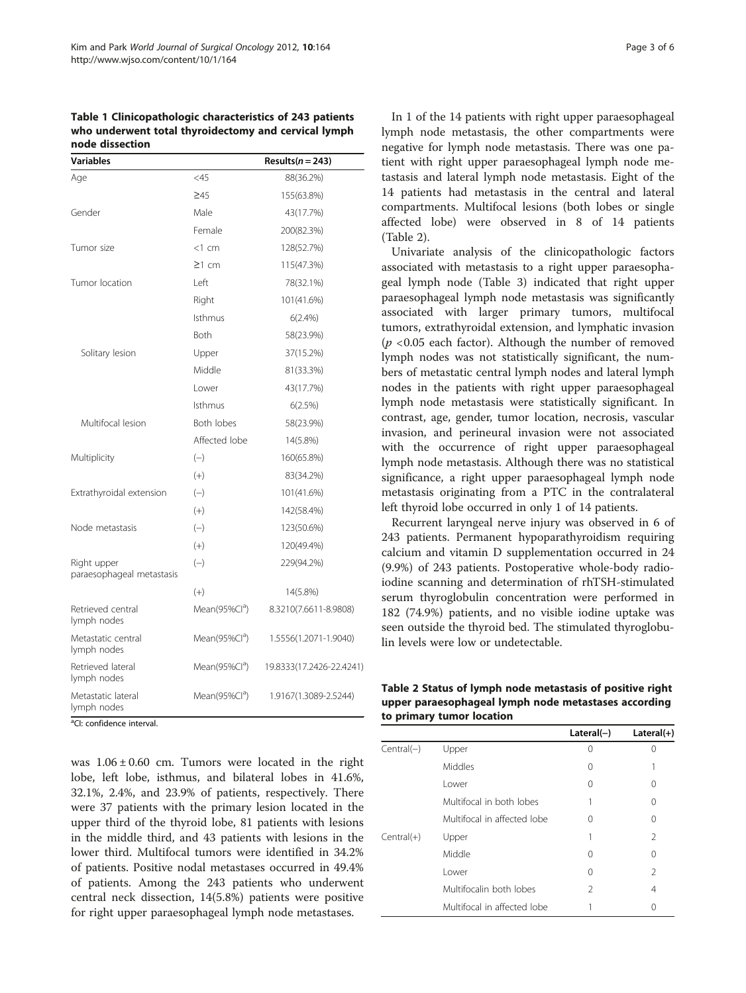<span id="page-2-0"></span>Table 1 Clinicopathologic characteristics of 243 patients who underwent total thyroidectomy and cervical lymph node dissection

| <b>Variables</b>                         |                           | Results( $n = 243$ )     |
|------------------------------------------|---------------------------|--------------------------|
| Age                                      | $<$ 45                    | 88(36.2%)                |
|                                          | $\geq 45$                 | 155(63.8%)               |
| Gender                                   | Male                      | 43(17.7%)                |
|                                          | Female                    | 200(82.3%)               |
| Tumor size                               | $<1$ cm                   | 128(52.7%)               |
|                                          | $\geq$ 1 cm               | 115(47.3%)               |
| Tumor location                           | l eft                     | 78(32.1%)                |
|                                          | Right                     | 101(41.6%)               |
|                                          | Isthmus                   | $6(2.4\%)$               |
|                                          | <b>Both</b>               | 58(23.9%)                |
| Solitary lesion                          | Upper                     | 37(15.2%)                |
|                                          | Middle                    | 81(33.3%)                |
|                                          | Lower                     | 43(17.7%)                |
|                                          | Isthmus                   | 6(2.5%)                  |
| Multifocal lesion                        | <b>Both lobes</b>         | 58(23.9%)                |
|                                          | Affected lobe             | 14(5.8%)                 |
| Multiplicity                             | $(-)$                     | 160(65.8%)               |
|                                          | $(+)$                     | 83(34.2%)                |
| Extrathyroidal extension                 | $(-)$                     | 101(41.6%)               |
|                                          | $(+)$                     | 142(58.4%)               |
| Node metastasis                          | $(-)$                     | 123(50.6%)               |
|                                          | $(+)$                     | 120(49.4%)               |
| Right upper<br>paraesophageal metastasis | $(-)$                     | 229(94.2%)               |
|                                          | $(+)$                     | 14(5.8%)                 |
| Retrieved central<br>lymph nodes         | Mean(95%Cl <sup>a</sup> ) | 8.3210(7.6611-8.9808)    |
| Metastatic central<br>lymph nodes        | $Mean(95\%Cld)$           | 1.5556(1.2071-1.9040)    |
| Retrieved lateral<br>lymph nodes         | Mean $(95\%Cla)$          | 19.8333(17.2426-22.4241) |
| Metastatic lateral<br>lymph nodes        | Mean(95%Cl <sup>a</sup> ) | 1.9167(1.3089-2.5244)    |

<sup>a</sup>CI: confidence interval.

was  $1.06 \pm 0.60$  cm. Tumors were located in the right lobe, left lobe, isthmus, and bilateral lobes in 41.6%, 32.1%, 2.4%, and 23.9% of patients, respectively. There were 37 patients with the primary lesion located in the upper third of the thyroid lobe, 81 patients with lesions in the middle third, and 43 patients with lesions in the lower third. Multifocal tumors were identified in 34.2% of patients. Positive nodal metastases occurred in 49.4% of patients. Among the 243 patients who underwent central neck dissection, 14(5.8%) patients were positive for right upper paraesophageal lymph node metastases.

In 1 of the 14 patients with right upper paraesophageal lymph node metastasis, the other compartments were negative for lymph node metastasis. There was one patient with right upper paraesophageal lymph node metastasis and lateral lymph node metastasis. Eight of the 14 patients had metastasis in the central and lateral compartments. Multifocal lesions (both lobes or single affected lobe) were observed in 8 of 14 patients (Table 2).

Univariate analysis of the clinicopathologic factors associated with metastasis to a right upper paraesophageal lymph node (Table [3\)](#page-3-0) indicated that right upper paraesophageal lymph node metastasis was significantly associated with larger primary tumors, multifocal tumors, extrathyroidal extension, and lymphatic invasion ( $p$  <0.05 each factor). Although the number of removed lymph nodes was not statistically significant, the numbers of metastatic central lymph nodes and lateral lymph nodes in the patients with right upper paraesophageal lymph node metastasis were statistically significant. In contrast, age, gender, tumor location, necrosis, vascular invasion, and perineural invasion were not associated with the occurrence of right upper paraesophageal lymph node metastasis. Although there was no statistical significance, a right upper paraesophageal lymph node metastasis originating from a PTC in the contralateral left thyroid lobe occurred in only 1 of 14 patients.

Recurrent laryngeal nerve injury was observed in 6 of 243 patients. Permanent hypoparathyroidism requiring calcium and vitamin D supplementation occurred in 24 (9.9%) of 243 patients. Postoperative whole-body radioiodine scanning and determination of rhTSH-stimulated serum thyroglobulin concentration were performed in 182 (74.9%) patients, and no visible iodine uptake was seen outside the thyroid bed. The stimulated thyroglobulin levels were low or undetectable.

| Table 2 Status of lymph node metastasis of positive right |
|-----------------------------------------------------------|
| upper paraesophageal lymph node metastases according      |
| to primary tumor location                                 |

|              |                             | $Lateral(-)$ | $Lateral(+)$   |
|--------------|-----------------------------|--------------|----------------|
| $Central(-)$ | Upper                       | 0            | ∩              |
|              | <b>Middles</b>              | Ω            |                |
|              | Lower                       | Ω            | 0              |
|              | Multifocal in both lobes    |              | 0              |
|              | Multifocal in affected lobe | $^{()}$      | 0              |
| $Central(+)$ | Upper                       |              | 2              |
|              | Middle                      | Ω            | 0              |
|              | Lower                       | Ω            | $\mathfrak{D}$ |
|              | Multifocalin both lobes     | 2            | 4              |
|              | Multifocal in affected lobe |              | Λ              |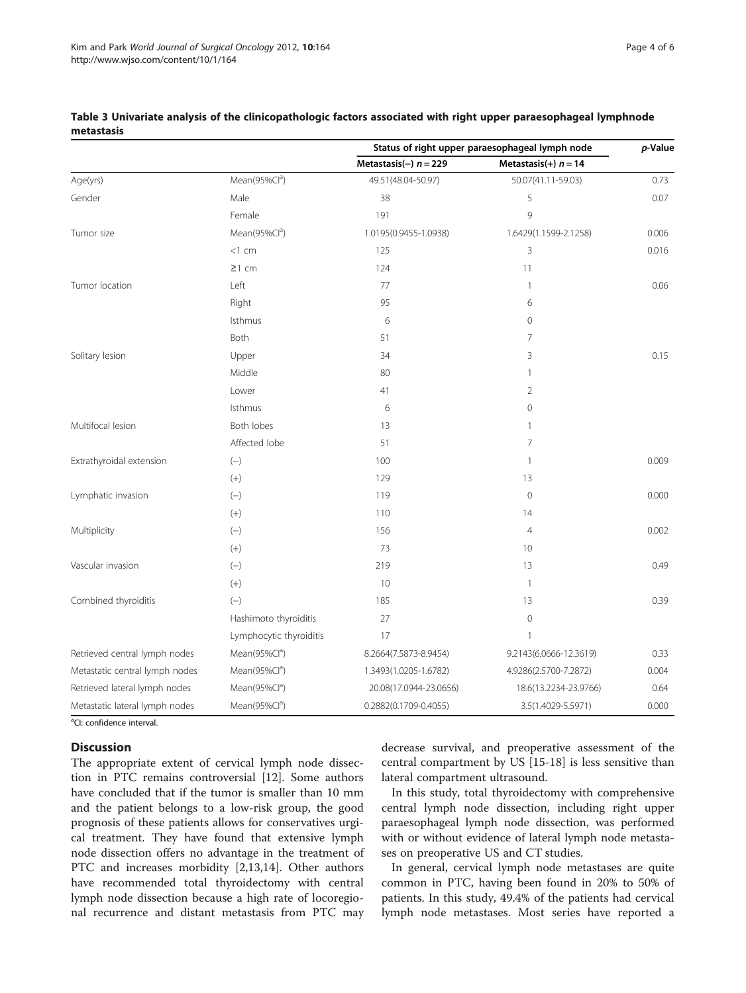|                                |                           | Status of right upper paraesophageal lymph node |                          | p-Value |
|--------------------------------|---------------------------|-------------------------------------------------|--------------------------|---------|
|                                |                           | Metastasis(-) $n = 229$                         | Metastasis(+) $n = 14$   |         |
| Age(yrs)                       | Mean(95%Cl <sup>a</sup> ) | 49.51(48.04-50.97)                              | 50.07(41.11-59.03)       | 0.73    |
| Gender                         | Male                      | 38                                              | 5                        | 0.07    |
|                                | Female                    | 191                                             | 9                        |         |
| Tumor size                     | Mean(95%Cl <sup>a</sup> ) | 1.0195(0.9455-1.0938)                           | 1.6429(1.1599-2.1258)    | 0.006   |
|                                | $<1$ cm                   | 125                                             | $\mathsf 3$              | 0.016   |
|                                | $\geq$ 1 cm               | 124                                             | 11                       |         |
| Tumor location                 | Left                      | 77                                              | $\mathbf{1}$             | 0.06    |
|                                | Right                     | 95                                              | 6                        |         |
|                                | Isthmus                   | 6                                               | $\mathbf{0}$             |         |
|                                | Both                      | 51                                              | $\overline{7}$           |         |
| Solitary lesion                | Upper                     | 34                                              | 3                        | 0.15    |
|                                | Middle                    | 80                                              | $\mathbf{1}$             |         |
|                                | Lower                     | 41                                              | $\overline{2}$           |         |
|                                | Isthmus                   | 6                                               | $\mathbf{0}$             |         |
| Multifocal lesion              | Both lobes                | 13                                              | 1                        |         |
|                                | Affected lobe             | 51                                              | 7                        |         |
| Extrathyroidal extension       | $\left( -\right)$         | 100                                             | $\mathbf{1}$             | 0.009   |
|                                | $^{(+)}$                  | 129                                             | 13                       |         |
| Lymphatic invasion             | $(-)$                     | 119                                             | $\mathbf 0$              | 0.000   |
|                                | $^{(+)}$                  | 110                                             | 14                       |         |
| Multiplicity                   | $\left( -\right)$         | 156                                             | $\overline{4}$           | 0.002   |
|                                | $(+)$                     | 73                                              | 10                       |         |
| Vascular invasion              | $(-)$                     | 219                                             | 13                       | 0.49    |
|                                | $^{(+)}$                  | 10                                              | $\overline{\phantom{a}}$ |         |
| Combined thyroiditis           | $\left( -\right)$         | 185                                             | 13                       | 0.39    |
|                                | Hashimoto thyroiditis     | 27                                              | $\mathbf 0$              |         |
|                                | Lymphocytic thyroiditis   | 17                                              | $\mathbf{1}$             |         |
| Retrieved central lymph nodes  | Mean(95%Cl <sup>a</sup> ) | 8.2664(7.5873-8.9454)                           | 9.2143(6.0666-12.3619)   | 0.33    |
| Metastatic central lymph nodes | Mean(95%Cl <sup>a</sup> ) | 1.3493(1.0205-1.6782)                           | 4.9286(2.5700-7.2872)    | 0.004   |
| Retrieved lateral lymph nodes  | Mean(95%Cl <sup>a</sup> ) | 20.08(17.0944-23.0656)                          | 18.6(13.2234-23.9766)    | 0.64    |
| Metastatic lateral lymph nodes | Mean(95%Cl <sup>a</sup> ) | 0.2882(0.1709-0.4055)                           | 3.5(1.4029-5.5971)       | 0.000   |

#### <span id="page-3-0"></span>Table 3 Univariate analysis of the clinicopathologic factors associated with right upper paraesophageal lymphnode metastasis

<sup>a</sup>CI: confidence interval.

# **Discussion**

The appropriate extent of cervical lymph node dissection in PTC remains controversial [\[12\]](#page-5-0). Some authors have concluded that if the tumor is smaller than 10 mm and the patient belongs to a low-risk group, the good prognosis of these patients allows for conservatives urgical treatment. They have found that extensive lymph node dissection offers no advantage in the treatment of PTC and increases morbidity [\[2](#page-4-0)[,13,14\]](#page-5-0). Other authors have recommended total thyroidectomy with central lymph node dissection because a high rate of locoregional recurrence and distant metastasis from PTC may decrease survival, and preoperative assessment of the central compartment by US [[15-18\]](#page-5-0) is less sensitive than lateral compartment ultrasound.

In this study, total thyroidectomy with comprehensive central lymph node dissection, including right upper paraesophageal lymph node dissection, was performed with or without evidence of lateral lymph node metastases on preoperative US and CT studies.

In general, cervical lymph node metastases are quite common in PTC, having been found in 20% to 50% of patients. In this study, 49.4% of the patients had cervical lymph node metastases. Most series have reported a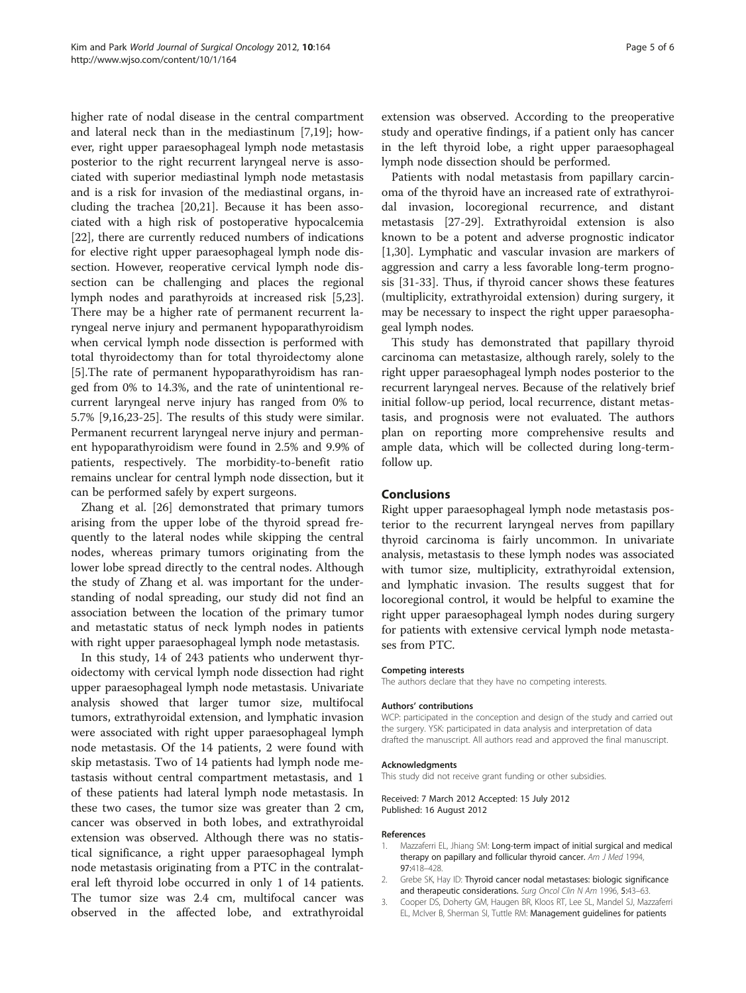<span id="page-4-0"></span>higher rate of nodal disease in the central compartment and lateral neck than in the mediastinum [\[7,19\]](#page-5-0); however, right upper paraesophageal lymph node metastasis posterior to the right recurrent laryngeal nerve is associated with superior mediastinal lymph node metastasis and is a risk for invasion of the mediastinal organs, including the trachea [\[20,21](#page-5-0)]. Because it has been associated with a high risk of postoperative hypocalcemia [[22\]](#page-5-0), there are currently reduced numbers of indications for elective right upper paraesophageal lymph node dissection. However, reoperative cervical lymph node dissection can be challenging and places the regional lymph nodes and parathyroids at increased risk [\[5,23](#page-5-0)]. There may be a higher rate of permanent recurrent laryngeal nerve injury and permanent hypoparathyroidism when cervical lymph node dissection is performed with total thyroidectomy than for total thyroidectomy alone [[5\]](#page-5-0).The rate of permanent hypoparathyroidism has ranged from 0% to 14.3%, and the rate of unintentional recurrent laryngeal nerve injury has ranged from 0% to 5.7% [\[9,16,23-25](#page-5-0)]. The results of this study were similar. Permanent recurrent laryngeal nerve injury and permanent hypoparathyroidism were found in 2.5% and 9.9% of patients, respectively. The morbidity-to-benefit ratio remains unclear for central lymph node dissection, but it can be performed safely by expert surgeons.

Zhang et al. [[26\]](#page-5-0) demonstrated that primary tumors arising from the upper lobe of the thyroid spread frequently to the lateral nodes while skipping the central nodes, whereas primary tumors originating from the lower lobe spread directly to the central nodes. Although the study of Zhang et al. was important for the understanding of nodal spreading, our study did not find an association between the location of the primary tumor and metastatic status of neck lymph nodes in patients with right upper paraesophageal lymph node metastasis.

In this study, 14 of 243 patients who underwent thyroidectomy with cervical lymph node dissection had right upper paraesophageal lymph node metastasis. Univariate analysis showed that larger tumor size, multifocal tumors, extrathyroidal extension, and lymphatic invasion were associated with right upper paraesophageal lymph node metastasis. Of the 14 patients, 2 were found with skip metastasis. Two of 14 patients had lymph node metastasis without central compartment metastasis, and 1 of these patients had lateral lymph node metastasis. In these two cases, the tumor size was greater than 2 cm, cancer was observed in both lobes, and extrathyroidal extension was observed. Although there was no statistical significance, a right upper paraesophageal lymph node metastasis originating from a PTC in the contralateral left thyroid lobe occurred in only 1 of 14 patients. The tumor size was 2.4 cm, multifocal cancer was observed in the affected lobe, and extrathyroidal

extension was observed. According to the preoperative study and operative findings, if a patient only has cancer in the left thyroid lobe, a right upper paraesophageal lymph node dissection should be performed.

Patients with nodal metastasis from papillary carcinoma of the thyroid have an increased rate of extrathyroidal invasion, locoregional recurrence, and distant metastasis [[27-29](#page-5-0)]. Extrathyroidal extension is also known to be a potent and adverse prognostic indicator [1,[30\]](#page-5-0). Lymphatic and vascular invasion are markers of aggression and carry a less favorable long-term prognosis [[31-33\]](#page-5-0). Thus, if thyroid cancer shows these features (multiplicity, extrathyroidal extension) during surgery, it may be necessary to inspect the right upper paraesophageal lymph nodes.

This study has demonstrated that papillary thyroid carcinoma can metastasize, although rarely, solely to the right upper paraesophageal lymph nodes posterior to the recurrent laryngeal nerves. Because of the relatively brief initial follow-up period, local recurrence, distant metastasis, and prognosis were not evaluated. The authors plan on reporting more comprehensive results and ample data, which will be collected during long-termfollow up.

#### Conclusions

Right upper paraesophageal lymph node metastasis posterior to the recurrent laryngeal nerves from papillary thyroid carcinoma is fairly uncommon. In univariate analysis, metastasis to these lymph nodes was associated with tumor size, multiplicity, extrathyroidal extension, and lymphatic invasion. The results suggest that for locoregional control, it would be helpful to examine the right upper paraesophageal lymph nodes during surgery for patients with extensive cervical lymph node metastases from PTC.

#### Competing interests

The authors declare that they have no competing interests.

#### Authors' contributions

WCP: participated in the conception and design of the study and carried out the surgery. YSK: participated in data analysis and interpretation of data drafted the manuscript. All authors read and approved the final manuscript.

#### Acknowledgments

This study did not receive grant funding or other subsidies.

Received: 7 March 2012 Accepted: 15 July 2012 Published: 16 August 2012

#### References

- 1. Mazzaferri EL, Jhiang SM: Long-term impact of initial surgical and medical therapy on papillary and follicular thyroid cancer. Am J Med 1994, 97:418–428.
- 2. Grebe SK, Hay ID: Thyroid cancer nodal metastases: biologic significance and therapeutic considerations. Surg Oncol Clin N Am 1996, 5:43-63.
- 3. Cooper DS, Doherty GM, Haugen BR, Kloos RT, Lee SL, Mandel SJ, Mazzaferri EL, McIver B, Sherman SI, Tuttle RM: Management guidelines for patients